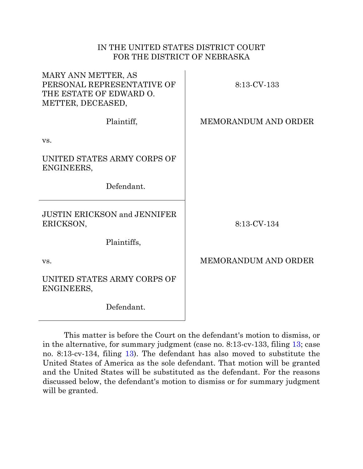# IN THE UNITED STATES DISTRICT COURT FOR THE DISTRICT OF NEBRASKA

| MARY ANN METTER, AS<br>PERSONAL REPRESENTATIVE OF<br>THE ESTATE OF EDWARD O.<br>METTER, DECEASED, | 8:13-CV-133                 |
|---------------------------------------------------------------------------------------------------|-----------------------------|
| Plaintiff,                                                                                        | <b>MEMORANDUM AND ORDER</b> |
| VS.                                                                                               |                             |
| UNITED STATES ARMY CORPS OF<br>ENGINEERS,                                                         |                             |
| Defendant.                                                                                        |                             |
| <b>JUSTIN ERICKSON and JENNIFER</b><br>ERICKSON,                                                  | 8:13-CV-134                 |
| Plaintiffs,                                                                                       |                             |
| VS.                                                                                               | <b>MEMORANDUM AND ORDER</b> |
| UNITED STATES ARMY CORPS OF<br>ENGINEERS,                                                         |                             |
| Defendant.                                                                                        |                             |

This matter is before the Court on the defendant's motion to dismiss, or in the alternative, for summary judgment (case no. 8:13-cv-133, filing [13;](https://ecf.ned.uscourts.gov/doc1/11312835340) case no. 8:13-cv-134, filing [13\)](https://ecf.ned.uscourts.gov/doc1/11312835356). The defendant has also moved to substitute the United States of America as the sole defendant. That motion will be granted and the United States will be substituted as the defendant. For the reasons discussed below, the defendant's motion to dismiss or for summary judgment will be granted.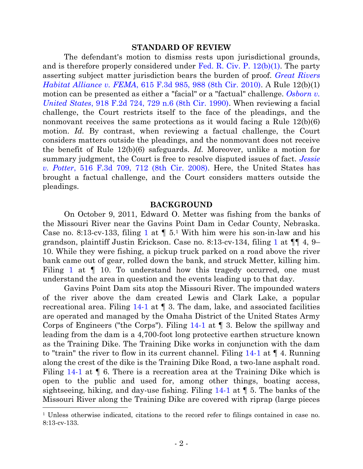#### **STANDARD OF REVIEW**

The defendant's motion to dismiss rests upon jurisdictional grounds, and is therefore properly considered under [Fed. R. Civ. P. 12\(b\)\(1\).](http://westlaw.com/find/default.wl?ft=L&docname=USFRCPR12&rs=btil2.0&rp=%2ffind%2fdefault.wl&fn=_top&findtype=L&vr=2.0&db=1000600&wbtoolsId=USFRCPR12&HistoryType=F) The party asserting subject matter jurisdiction bears the burden of proof. *[Great Rivers](http://web2.westlaw.com/find/default.wl?cite=615+F.3d+985&rs=WLW14.01&vr=2.0&rp=%2ffind%2fdefault.wl&sv=Split&fn=_top&mt=26)  Habitat Alliance v. FEMA*[, 615 F.3d 985, 988 \(8th Cir. 2010\).](http://web2.westlaw.com/find/default.wl?cite=615+F.3d+985&rs=WLW14.01&vr=2.0&rp=%2ffind%2fdefault.wl&sv=Split&fn=_top&mt=26) A Rule 12(b)(1) motion can be presented as either a "facial" or a "factual" challenge. *[Osborn v.](http://westlaw.com/find/default.wl?ft=Y&referencepositiontype=S&rs=btil2.0&rp=%2ffind%2fdefault.wl&serialnum=1990158233&fn=_top&referenceposition=729&findtype=Y&vr=2.0&db=0000350&wbtoolsId=1990158233&HistoryType=F)  United States*, 918 [F.2d 724, 729 n.6 \(8th Cir. 1990\).](http://westlaw.com/find/default.wl?ft=Y&referencepositiontype=S&rs=btil2.0&rp=%2ffind%2fdefault.wl&serialnum=1990158233&fn=_top&referenceposition=729&findtype=Y&vr=2.0&db=0000350&wbtoolsId=1990158233&HistoryType=F) When reviewing a facial challenge, the Court restricts itself to the face of the pleadings, and the nonmovant receives the same protections as it would facing a Rule  $12(b)(6)$ motion. *Id.* By contrast, when reviewing a factual challenge, the Court considers matters outside the pleadings, and the nonmovant does not receive the benefit of Rule 12(b)(6) safeguards. *Id.* Moreover, unlike a motion for summary judgment, the Court is free to resolve disputed issues of fact. *[Jessie](http://westlaw.com/find/default.wl?ft=Y&referencepositiontype=S&rs=btil2.0&rp=%2ffind%2fdefault.wl&serialnum=2015291767&fn=_top&referenceposition=712&findtype=Y&vr=2.0&db=0000506&wbtoolsId=2015291767&HistoryType=F)  v. Potter*[, 516 F.3d 709, 712 \(8th Cir. 2008\).](http://westlaw.com/find/default.wl?ft=Y&referencepositiontype=S&rs=btil2.0&rp=%2ffind%2fdefault.wl&serialnum=2015291767&fn=_top&referenceposition=712&findtype=Y&vr=2.0&db=0000506&wbtoolsId=2015291767&HistoryType=F) Here, the United States has brought a factual challenge, and the Court considers matters outside the pleadings.

#### **BACKGROUND**

On October 9, 2011, Edward O. Metter was fishing from the banks of the Missouri River near the Gavins Point Dam in Cedar County, Nebraska. Case no. 8:13-cv-133, filing [1](https://ecf.ned.uscourts.gov/doc1/11302768338) at  $\P$  5.<sup>1</sup> With him were his son-in-law and his grandson, plaintiff Justin Erickson. Case no. 8:13-cv-134, filing [1](file://ned.circ8.dcn/usdc/usr/Gerrard/ConroyA/Private/013cvMTR/Case%20no.%208:13-cv-133%20filing) at ¶¶ 4, 9– 10. While they were fishing, a pickup truck parked on a road above the river bank came out of gear, rolled down the bank, and struck Metter, killing him. Filing [1](https://ecf.ned.uscourts.gov/doc1/11302768338) at  $\parallel$  10. To understand how this tragedy occurred, one must understand the area in question and the events leading up to that day.

Gavins Point Dam sits atop the Missouri River. The impounded waters of the river above the dam created Lewis and Clark Lake, a popular recreational area. Filing  $14-1$  at  $\P$  3. The dam, lake, and associated facilities are operated and managed by the Omaha District of the United States Army Corps of Engineers ("the Corps"). Filing [14-1](https://ecf.ned.uscourts.gov/doc1/11312835353) at ¶ 3. Below the spillway and leading from the dam is a 4,700-foot long protective earthen structure known as the Training Dike. The Training Dike works in conjunction with the dam to "train" the river to flow in its current channel. Filing [14-1](https://ecf.ned.uscourts.gov/doc1/11312835353) at ¶ 4. Running along the crest of the dike is the Training Dike Road, a two-lane asphalt road. Filing [14-1](https://ecf.ned.uscourts.gov/doc1/11312835353) at  $\parallel$  6. There is a recreation area at the Training Dike which is open to the public and used for, among other things, boating access, sightseeing, hiking, and day-use fishing. Filing [14-1](https://ecf.ned.uscourts.gov/doc1/11312835353) at ¶ 5. The banks of the Missouri River along the Training Dike are covered with riprap (large pieces 

<sup>1</sup> Unless otherwise indicated, citations to the record refer to filings contained in case no. 8:13-cv-133.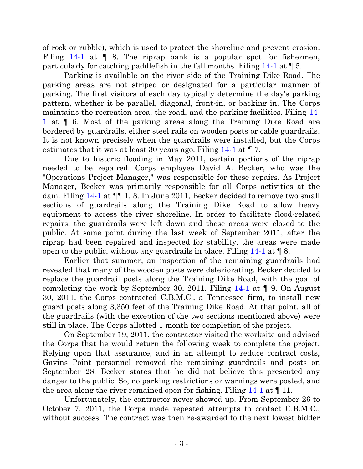of rock or rubble), which is used to protect the shoreline and prevent erosion. Filing [14-1](https://ecf.ned.uscourts.gov/doc1/11312835353) at  $\parallel$  8. The riprap bank is a popular spot for fishermen, particularly for catching paddlefish in the fall months. Filing [14-1](https://ecf.ned.uscourts.gov/doc1/11312835353) at ¶ 5.

Parking is available on the river side of the Training Dike Road. The parking areas are not striped or designated for a particular manner of parking. The first visitors of each day typically determine the day's parking pattern, whether it be parallel, diagonal, front-in, or backing in. The Corps maintains the recreation area, the road, and the parking facilities. Filing [14-](https://ecf.ned.uscourts.gov/doc1/11312835353) [1](https://ecf.ned.uscourts.gov/doc1/11312835353) at ¶ 6. Most of the parking areas along the Training Dike Road are bordered by guardrails, either steel rails on wooden posts or cable guardrails. It is not known precisely when the guardrails were installed, but the Corps estimates that it was at least 30 years ago. Filing [14-1](https://ecf.ned.uscourts.gov/doc1/11312835353) at ¶ 7.

Due to historic flooding in May 2011, certain portions of the riprap needed to be repaired. Corps employee David A. Becker, who was the "Operations Project Manager," was responsible for these repairs. As Project Manager, Becker was primarily responsible for all Corps activities at the dam. Filing [14-1](https://ecf.ned.uscourts.gov/doc1/11312835353) at ¶¶ 1, 8. In June 2011, Becker decided to remove two small sections of guardrails along the Training Dike Road to allow heavy equipment to access the river shoreline. In order to facilitate flood-related repairs, the guardrails were left down and these areas were closed to the public. At some point during the last week of September 2011, after the riprap had been repaired and inspected for stability, the areas were made open to the public, without any guardrails in place. Filing [14-1](https://ecf.ned.uscourts.gov/doc1/11312835353) at ¶ 8.

Earlier that summer, an inspection of the remaining guardrails had revealed that many of the wooden posts were deteriorating. Becker decided to replace the guardrail posts along the Training Dike Road, with the goal of completing the work by September 30, 2011. Filing [14-1](https://ecf.ned.uscourts.gov/doc1/11312835353) at ¶ 9. On August 30, 2011, the Corps contracted C.B.M.C., a Tennessee firm, to install new guard posts along 3,350 feet of the Training Dike Road. At that point, all of the guardrails (with the exception of the two sections mentioned above) were still in place. The Corps allotted 1 month for completion of the project.

On September 19, 2011, the contractor visited the worksite and advised the Corps that he would return the following week to complete the project. Relying upon that assurance, and in an attempt to reduce contract costs, Gavins Point personnel removed the remaining guardrails and posts on September 28. Becker states that he did not believe this presented any danger to the public. So, no parking restrictions or warnings were posted, and the area along the river remained open for fishing. Filing [14-1](https://ecf.ned.uscourts.gov/doc1/11312835353) at ¶ 11.

Unfortunately, the contractor never showed up. From September 26 to October 7, 2011, the Corps made repeated attempts to contact C.B.M.C., without success. The contract was then re-awarded to the next lowest bidder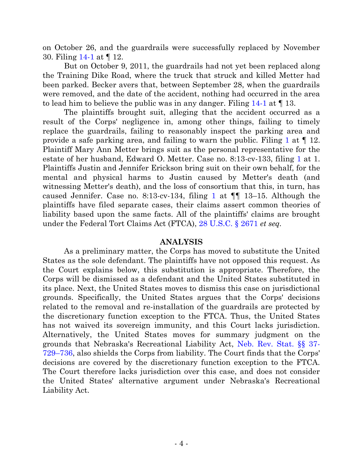on October 26, and the guardrails were successfully replaced by November 30. Filing [14-1](https://ecf.ned.uscourts.gov/doc1/11312835353) at ¶ 12.

But on October 9, 2011, the guardrails had not yet been replaced along the Training Dike Road, where the truck that struck and killed Metter had been parked. Becker avers that, between September 28, when the guardrails were removed, and the date of the accident, nothing had occurred in the area to lead him to believe the public was in any danger. Filing [14-1](https://ecf.ned.uscourts.gov/doc1/11312835353) at ¶ 13.

The plaintiffs brought suit, alleging that the accident occurred as a result of the Corps' negligence in, among other things, failing to timely replace the guardrails, failing to reasonably inspect the parking area and provide a safe parking area, and failing to warn the public. Filing [1](https://ecf.ned.uscourts.gov/doc1/11302768338) at ¶ 12. Plaintiff Mary Ann Metter brings suit as the personal representative for the estate of her husband, Edward O. Metter. Case no. 8:13-cv-133, filing [1](https://ecf.ned.uscourts.gov/doc1/11302768338) at 1. Plaintiffs Justin and Jennifer Erickson bring suit on their own behalf, for the mental and physical harms to Justin caused by Metter's death (and witnessing Metter's death), and the loss of consortium that this, in turn, has caused Jennifer. Case no. 8:[1](file://ned.circ8.dcn/usdc/usr/Gerrard/ConroyA/Private/013cvMTR/Case%20no.%208:13-cv-133%20filing)3-cv-134, filing 1 at  $\P$  13–15. Although the plaintiffs have filed separate cases, their claims assert common theories of liability based upon the same facts. All of the plaintiffs' claims are brought under the Federal Tort Claims Act (FTCA), [28 U.S.C. § 2671](http://westlaw.com/find/default.wl?ft=L&docname=28USCAS2671&rs=btil2.0&rp=%2ffind%2fdefault.wl&fn=_top&findtype=L&vr=2.0&db=1000546&wbtoolsId=28USCAS2671&HistoryType=F) *et seq.*

# **ANALYSIS**

As a preliminary matter, the Corps has moved to substitute the United States as the sole defendant. The plaintiffs have not opposed this request. As the Court explains below, this substitution is appropriate. Therefore, the Corps will be dismissed as a defendant and the United States substituted in its place. Next, the United States moves to dismiss this case on jurisdictional grounds. Specifically, the United States argues that the Corps' decisions related to the removal and re-installation of the guardrails are protected by the discretionary function exception to the FTCA. Thus, the United States has not waived its sovereign immunity, and this Court lacks jurisdiction. Alternatively, the United States moves for summary judgment on the grounds that Nebraska's Recreational Liability Act, [Neb. Rev. Stat. §§ 37-](http://web2.westlaw.com/find/default.wl?cite=neb.+rev.+stat.+s+37-729&rs=WLW14.01&vr=2.0&rp=%2ffind%2fdefault.wl&utid=1&fn=_top&mt=FederalGovernment&sv=Split) 729–[736,](http://web2.westlaw.com/find/default.wl?cite=neb.+rev.+stat.+s+37-729&rs=WLW14.01&vr=2.0&rp=%2ffind%2fdefault.wl&utid=1&fn=_top&mt=FederalGovernment&sv=Split) also shields the Corps from liability. The Court finds that the Corps' decisions are covered by the discretionary function exception to the FTCA. The Court therefore lacks jurisdiction over this case, and does not consider the United States' alternative argument under Nebraska's Recreational Liability Act.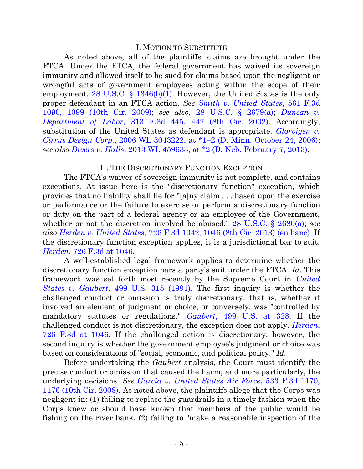### I. MOTION TO SUBSTITUTE

As noted above, all of the plaintiffs' claims are brought under the FTCA. Under the FTCA, the federal government has waived its sovereign immunity and allowed itself to be sued for claims based upon the negligent or wrongful acts of government employees acting within the scope of their employment. [28 U.S.C. § 1346\(b\)\(1\).](http://westlaw.com/find/default.wl?ft=L&docname=28USCAS1346&rs=btil2.0&rp=%2ffind%2fdefault.wl&fn=_top&findtype=L&vr=2.0&db=1000546&wbtoolsId=28USCAS1346&HistoryType=F) However, the United States is the only proper defendant in an FTCA action. *See [Smith v. United States](http://westlaw.com/find/default.wl?ft=Y&referencepositiontype=S&rs=btil2.0&rp=%2ffind%2fdefault.wl&serialnum=2018504012&fn=_top&referenceposition=1099&findtype=Y&vr=2.0&db=0000506&wbtoolsId=2018504012&HistoryType=F)*, 561 F.3d [1090, 1099 \(10th Cir. 2009\);](http://westlaw.com/find/default.wl?ft=Y&referencepositiontype=S&rs=btil2.0&rp=%2ffind%2fdefault.wl&serialnum=2018504012&fn=_top&referenceposition=1099&findtype=Y&vr=2.0&db=0000506&wbtoolsId=2018504012&HistoryType=F) *see also*, [28 U.S.C. § 2679\(a\);](http://westlaw.com/find/default.wl?ft=L&docname=28USCAS2679&rs=btil2.0&rp=%2ffind%2fdefault.wl&fn=_top&findtype=L&vr=2.0&db=1000546&wbtoolsId=28USCAS2679&HistoryType=F) *[Duncan v.](http://westlaw.com/find/default.wl?ft=Y&referencepositiontype=S&rs=btil2.0&rp=%2ffind%2fdefault.wl&serialnum=2002779423&fn=_top&referenceposition=447&findtype=Y&vr=2.0&db=0000506&wbtoolsId=2002779423&HistoryType=F)  Department of Labor*[, 313 F.3d 445, 447](http://westlaw.com/find/default.wl?ft=Y&referencepositiontype=S&rs=btil2.0&rp=%2ffind%2fdefault.wl&serialnum=2002779423&fn=_top&referenceposition=447&findtype=Y&vr=2.0&db=0000506&wbtoolsId=2002779423&HistoryType=F) (8th Cir. 2002). Accordingly, substitution of the United States as defendant is appropriate. *[Glorvigen v.](http://westlaw.com/find/default.wl?ft=Y&referencepositiontype=S&rs=btil2.0&rp=%2ffind%2fdefault.wl&serialnum=2010529878&fn=_top&referenceposition=1&findtype=Y&vr=2.0&db=0000999&wbtoolsId=2010529878&HistoryType=F)  Cirrus Design Corp.*, 2006 WL 3043222, at \*1–[2 \(D. Minn. October 24, 2006\);](http://westlaw.com/find/default.wl?ft=Y&referencepositiontype=S&rs=btil2.0&rp=%2ffind%2fdefault.wl&serialnum=2010529878&fn=_top&referenceposition=1&findtype=Y&vr=2.0&db=0000999&wbtoolsId=2010529878&HistoryType=F) *see also Divers v. Halls*[, 2013 WL 459633, at \\*2 \(D. Neb. February 7, 2013\).](http://westlaw.com/find/default.wl?ft=Y&referencepositiontype=S&rs=btil2.0&rp=%2ffind%2fdefault.wl&serialnum=2029806502&fn=_top&referenceposition=2&findtype=Y&vr=2.0&db=0000999&wbtoolsId=2029806502&HistoryType=F)

# II. THE DISCRETIONARY FUNCTION EXCEPTION

The FTCA's waiver of sovereign immunity is not complete, and contains exceptions. At issue here is the "discretionary function" exception, which provides that no liability shall lie for "[a]ny claim . . . based upon the exercise or performance or the failure to exercise or perform a discretionary function or duty on the part of a federal agency or an employee of the Government, whether or not the discretion involved be abused." [28 U.S.C. § 2680\(a\);](http://web2.westlaw.com/find/default.wl?cite=28+U.S.C.+2680(a)&rs=WLW14.01&vr=2.0&rp=%2ffind%2fdefault.wl&sv=Split&fn=_top&mt=26) *see also Herden v. United States*[, 726 F.3d 1042, 1046 \(8th Cir. 2013\) \(en banc\).](http://westlaw.com/find/default.wl?ft=Y&referencepositiontype=S&rs=btil2.0&rp=%2ffind%2fdefault.wl&serialnum=2031263541&fn=_top&referenceposition=1046&findtype=Y&vr=2.0&wbtoolsId=2031263541&HistoryType=F) If the discretionary function exception applies, it is a jurisdictional bar to suit. *Herden*[, 726 F.3d at 1046.](http://westlaw.com/find/default.wl?ft=Y&referencepositiontype=S&rs=btil2.0&rp=%2ffind%2fdefault.wl&serialnum=2031263541&fn=_top&referenceposition=1046&findtype=Y&vr=2.0&wbtoolsId=2031263541&HistoryType=F)

A well-established legal framework applies to determine whether the discretionary function exception bars a party's suit under the FTCA. *Id.* This framework was set forth most recently by the Supreme Court in *[United](http://westlaw.com/find/default.wl?ft=Y&db=0000780&rs=btil2.0&rp=%2ffind%2fdefault.wl&serialnum=1991059718&fn=_top&findtype=Y&vr=2.0&wbtoolsId=1991059718&HistoryType=F)  States v. Gaubert*[, 499 U.S. 315 \(1991\).](http://westlaw.com/find/default.wl?ft=Y&db=0000780&rs=btil2.0&rp=%2ffind%2fdefault.wl&serialnum=1991059718&fn=_top&findtype=Y&vr=2.0&wbtoolsId=1991059718&HistoryType=F) The first inquiry is whether the challenged conduct or omission is truly discretionary, that is, whether it involved an element of judgment or choice, or conversely, was "controlled by mandatory statutes or regulations." *Gaubert*[, 499 U.S. at 328.](http://westlaw.com/find/default.wl?ft=Y&db=0000780&rs=btil2.0&rp=%2ffind%2fdefault.wl&serialnum=1991059718&fn=_top&findtype=Y&vr=2.0&wbtoolsId=1991059718&HistoryType=F) If the challenged conduct is not discretionary, the exception does not apply. *[Herden](http://westlaw.com/find/default.wl?ft=Y&referencepositiontype=S&rs=btil2.0&rp=%2ffind%2fdefault.wl&serialnum=2031263541&fn=_top&referenceposition=1046&findtype=Y&vr=2.0&wbtoolsId=2031263541&HistoryType=F)*, [726 F.3d at 1046.](http://westlaw.com/find/default.wl?ft=Y&referencepositiontype=S&rs=btil2.0&rp=%2ffind%2fdefault.wl&serialnum=2031263541&fn=_top&referenceposition=1046&findtype=Y&vr=2.0&wbtoolsId=2031263541&HistoryType=F) If the challenged action is discretionary, however, the second inquiry is whether the government employee's judgment or choice was based on considerations of "social, economic, and political policy." *Id.*

Before undertaking the *Gaubert* analysis, the Court must identify the precise conduct or omission that caused the harm, and more particularly, the underlying decisions. *See [Garcia v. United States Air Force](http://westlaw.com/find/default.wl?ft=Y&referencepositiontype=S&rs=btil2.0&rp=%2ffind%2fdefault.wl&serialnum=2016528031&fn=_top&referenceposition=1176&findtype=Y&vr=2.0&db=0000506&wbtoolsId=2016528031&HistoryType=F)*, 533 F.3d 1170, [1176 \(10th Cir. 2008\).](http://westlaw.com/find/default.wl?ft=Y&referencepositiontype=S&rs=btil2.0&rp=%2ffind%2fdefault.wl&serialnum=2016528031&fn=_top&referenceposition=1176&findtype=Y&vr=2.0&db=0000506&wbtoolsId=2016528031&HistoryType=F) As noted above, the plaintiffs allege that the Corps was negligent in: (1) failing to replace the guardrails in a timely fashion when the Corps knew or should have known that members of the public would be fishing on the river bank, (2) failing to "make a reasonable inspection of the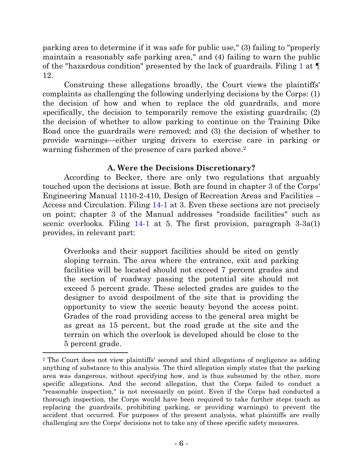parking area to determine if it was safe for public use," (3) failing to "properly maintain a reasonably safe parking area," and (4) failing to warn the public of the "hazardous condition" presented by the lack of guardrails. Filing [1](https://ecf.ned.uscourts.gov/doc1/11302768338) at ¶ 12.

Construing these allegations broadly, the Court views the plaintiffs' complaints as challenging the following underlying decisions by the Corps: (1) the decision of how and when to replace the old guardrails, and more specifically, the decision to temporarily remove the existing guardrails; (2) the decision of whether to allow parking to continue on the Training Dike Road once the guardrails were removed; and (3) the decision of whether to provide warnings—either urging drivers to exercise care in parking or warning fishermen of the presence of cars parked above.<sup>2</sup>

# **A. Were the Decisions Discretionary?**

According to Becker, there are only two regulations that arguably touched upon the decisions at issue. Both are found in chapter 3 of the Corps' Engineering Manual 1110-2-410, Design of Recreation Areas and Facilities – Access and Circulation. Filing [14-1](https://ecf.ned.uscourts.gov/doc1/11312835353) at 3. Even these sections are not precisely on point; chapter 3 of the Manual addresses "roadside facilities" such as scenic overlooks. Filing  $14-1$  at 5. The first provision, paragraph  $3-3a(1)$ provides, in relevant part:

Overlooks and their support facilities should be sited on gently sloping terrain. The area where the entrance, exit and parking facilities will be located should not exceed 7 percent grades and the section of roadway passing the potential site should not exceed 5 percent grade. These selected grades are guides to the designer to avoid despoilment of the site that is providing the opportunity to view the scenic beauty beyond the access point. Grades of the road providing access to the general area might be as great as 15 percent, but the road grade at the site and the terrain on which the overlook is developed should be close to the 5 percent grade.

<sup>2</sup> The Court does not view plaintiffs' second and third allegations of negligence as adding anything of substance to this analysis. The third allegation simply states that the parking area was dangerous, without specifying how, and is thus subsumed by the other, more specific allegations. And the second allegation, that the Corps failed to conduct a "reasonable inspection," is not necessarily on point. Even if the Corps had conducted a thorough inspection, the Corps would have been required to take further steps (such as replacing the guardrails, prohibiting parking, or providing warnings) to prevent the accident that occurred. For purposes of the present analysis, what plaintiffs are really challenging are the Corps' decisions not to take any of these specific safety measures.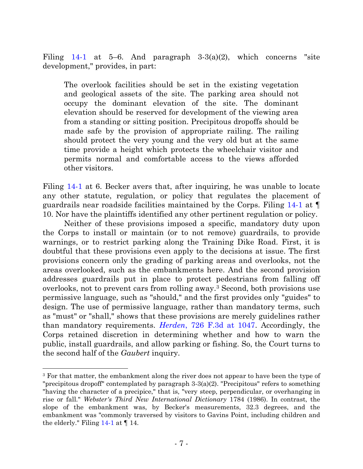Filing [14-1](https://ecf.ned.uscourts.gov/doc1/11312835353) at 5–6. And paragraph  $3-3(a)(2)$ , which concerns "site development," provides, in part:

The overlook facilities should be set in the existing vegetation and geological assets of the site. The parking area should not occupy the dominant elevation of the site. The dominant elevation should be reserved for development of the viewing area from a standing or sitting position. Precipitous dropoffs should be made safe by the provision of appropriate railing. The railing should protect the very young and the very old but at the same time provide a height which protects the wheelchair visitor and permits normal and comfortable access to the views afforded other visitors.

Filing [14-1](https://ecf.ned.uscourts.gov/doc1/11312835353) at 6. Becker avers that, after inquiring, he was unable to locate any other statute, regulation, or policy that regulates the placement of guardrails near roadside facilities maintained by the Corps. Filing [14-1](https://ecf.ned.uscourts.gov/doc1/11312835353) at ¶ 10. Nor have the plaintiffs identified any other pertinent regulation or policy.

Neither of these provisions imposed a specific, mandatory duty upon the Corps to install or maintain (or to not remove) guardrails, to provide warnings, or to restrict parking along the Training Dike Road. First, it is doubtful that these provisions even apply to the decisions at issue. The first provisions concern only the grading of parking areas and overlooks, not the areas overlooked, such as the embankments here. And the second provision addresses guardrails put in place to protect pedestrians from falling off overlooks, not to prevent cars from rolling away.<sup>3</sup> Second, both provisions use permissive language, such as "should," and the first provides only "guides" to design. The use of permissive language, rather than mandatory terms, such as "must" or "shall," shows that these provisions are merely guidelines rather than mandatory requirements. *Herden*[, 726 F.3d at 1047.](http://westlaw.com/find/default.wl?ft=Y&referencepositiontype=S&rs=btil2.0&rp=%2ffind%2fdefault.wl&serialnum=2031263541&fn=_top&referenceposition=1046&findtype=Y&vr=2.0&wbtoolsId=2031263541&HistoryType=F) Accordingly, the Corps retained discretion in determining whether and how to warn the public, install guardrails, and allow parking or fishing. So, the Court turns to the second half of the *Gaubert* inquiry.

<sup>&</sup>lt;sup>3</sup> For that matter, the embankment along the river does not appear to have been the type of "precipitous dropoff" contemplated by paragraph 3-3(a)(2). "Precipitous" refers to something "having the character of a precipice," that is, "very steep, perpendicular, or overhanging in rise or fall." *Webster's Third New International Dictionary* 1784 (1986). In contrast, the slope of the embankment was, by Becker's measurements, 32.3 degrees, and the embankment was "commonly traversed by visitors to Gavins Point, including children and the elderly." Filing  $14-1$  at  $\P$  14.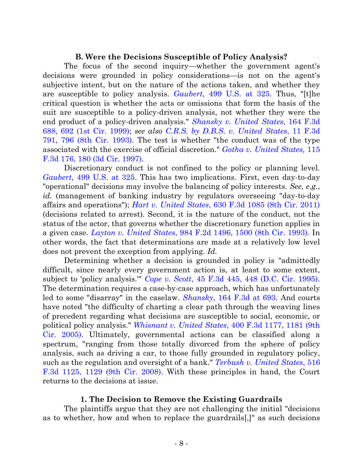# **B. Were the Decisions Susceptible of Policy Analysis?**

The focus of the second inquiry—whether the government agent's decisions were grounded in policy considerations—is not on the agent's subjective intent, but on the nature of the actions taken, and whether they are susceptible to policy analysis. *Gaubert*[, 499 U.S. at 325.](http://westlaw.com/find/default.wl?ft=Y&db=0000780&rs=btil2.0&rp=%2ffind%2fdefault.wl&serialnum=1991059718&fn=_top&findtype=Y&vr=2.0&wbtoolsId=1991059718&HistoryType=F) Thus, "[t]he critical question is whether the acts or omissions that form the basis of the suit are susceptible to a policy-driven analysis, not whether they were the end product of a policy-driven analysis." *[Shansky v. United States](http://westlaw.com/find/default.wl?ft=Y&referencepositiontype=S&rs=btil2.0&rp=%2ffind%2fdefault.wl&serialnum=1999026691&fn=_top&referenceposition=692&findtype=Y&vr=2.0&db=0000506&wbtoolsId=1999026691&HistoryType=F)*, 164 F.3d [688, 692 \(1st Cir. 1999\);](http://westlaw.com/find/default.wl?ft=Y&referencepositiontype=S&rs=btil2.0&rp=%2ffind%2fdefault.wl&serialnum=1999026691&fn=_top&referenceposition=692&findtype=Y&vr=2.0&db=0000506&wbtoolsId=1999026691&HistoryType=F) *see also [C.R.S. by D.B.S. v. United States](http://westlaw.com/find/default.wl?ft=Y&referencepositiontype=S&rs=btil2.0&rp=%2ffind%2fdefault.wl&serialnum=1993231738&fn=_top&referenceposition=796&findtype=Y&vr=2.0&db=0000506&wbtoolsId=1993231738&HistoryType=F)*, 11 F.3d [791, 796 \(8th Cir. 1993\).](http://westlaw.com/find/default.wl?ft=Y&referencepositiontype=S&rs=btil2.0&rp=%2ffind%2fdefault.wl&serialnum=1993231738&fn=_top&referenceposition=796&findtype=Y&vr=2.0&db=0000506&wbtoolsId=1993231738&HistoryType=F) The test is whether "the conduct was of the type associated with the exercise of official discretion." *[Gotha v. United States,](http://westlaw.com/find/default.wl?ft=Y&referencepositiontype=S&rs=btil2.0&rp=%2ffind%2fdefault.wl&serialnum=1997117112&fn=_top&referenceposition=180&findtype=Y&vr=2.0&db=0000506&wbtoolsId=1997117112&HistoryType=F)* 115 [F.3d 176, 180 \(3d Cir. 1997\).](http://westlaw.com/find/default.wl?ft=Y&referencepositiontype=S&rs=btil2.0&rp=%2ffind%2fdefault.wl&serialnum=1997117112&fn=_top&referenceposition=180&findtype=Y&vr=2.0&db=0000506&wbtoolsId=1997117112&HistoryType=F)

Discretionary conduct is not confined to the policy or planning level. *Gaubert*[, 499 U.S. at 325.](http://westlaw.com/find/default.wl?ft=Y&db=0000780&rs=btil2.0&rp=%2ffind%2fdefault.wl&serialnum=1991059718&fn=_top&findtype=Y&vr=2.0&wbtoolsId=1991059718&HistoryType=F) This has two implications. First, even day-to-day "operational" decisions may involve the balancing of policy interests. *See, e.g.*, *id.* (management of banking industry by regulators overseeing "day-to-day affairs and operations"); *Hart v. United States*[, 630 F.3d 1085 \(8th Cir. 2011\)](http://westlaw.com/find/default.wl?ft=Y&db=0000506&rs=btil2.0&rp=%2ffind%2fdefault.wl&serialnum=2024338545&fn=_top&findtype=Y&vr=2.0&wbtoolsId=2024338545&HistoryType=F) (decisions related to arrest). Second, it is the nature of the conduct, not the status of the actor, that governs whether the discretionary function applies in a given case. *Layton v. United States*[, 984 F.2d 1496, 1500 \(8th Cir. 1993\).](http://westlaw.com/find/default.wl?ft=Y&referencepositiontype=S&rs=btil2.0&rp=%2ffind%2fdefault.wl&serialnum=1993036793&fn=_top&referenceposition=1500&findtype=Y&vr=2.0&db=0000350&wbtoolsId=1993036793&HistoryType=F) In other words, the fact that determinations are made at a relatively low level does not prevent the exception from applying. *Id.*

Determining whether a decision is grounded in policy is "admittedly difficult, since nearly every government action is, at least to some extent, subject to 'policy analysis.'" *Cope v. Scott*[, 45 F.3d 445, 448 \(D.C. Cir. 1995\).](http://westlaw.com/find/default.wl?ft=Y&referencepositiontype=S&rs=btil2.0&rp=%2ffind%2fdefault.wl&serialnum=1995027634&fn=_top&referenceposition=448&findtype=Y&vr=2.0&db=0000506&wbtoolsId=1995027634&HistoryType=F) The determination requires a case-by-case approach, which has unfortunately led to some "disarray" in the caselaw. *Shansky*[, 164 F.3d at 693.](http://westlaw.com/find/default.wl?ft=Y&referencepositiontype=S&rs=btil2.0&rp=%2ffind%2fdefault.wl&serialnum=1999026691&fn=_top&referenceposition=692&findtype=Y&vr=2.0&db=0000506&wbtoolsId=1999026691&HistoryType=F) And courts have noted "the difficulty of charting a clear path through the weaving lines of precedent regarding what decisions are susceptible to social, economic, or political policy analysis." *Whisnant v. United States*[, 400 F.3d 1177, 1181 \(9th](http://westlaw.com/find/default.wl?ft=Y&referencepositiontype=S&rs=btil2.0&rp=%2ffind%2fdefault.wl&serialnum=2006339093&fn=_top&referenceposition=1181&findtype=Y&vr=2.0&db=0000506&wbtoolsId=2006339093&HistoryType=F)  [Cir. 2005\).](http://westlaw.com/find/default.wl?ft=Y&referencepositiontype=S&rs=btil2.0&rp=%2ffind%2fdefault.wl&serialnum=2006339093&fn=_top&referenceposition=1181&findtype=Y&vr=2.0&db=0000506&wbtoolsId=2006339093&HistoryType=F) Ultimately, governmental actions can be classified along a spectrum, "ranging from those totally divorced from the sphere of policy analysis, such as driving a car, to those fully grounded in regulatory policy, such as the regulation and oversight of a bank." *[Terbush v. United States](http://westlaw.com/find/default.wl?ft=Y&referencepositiontype=S&rs=btil2.0&rp=%2ffind%2fdefault.wl&serialnum=2015297928&fn=_top&referenceposition=1129&findtype=Y&vr=2.0&db=0000506&wbtoolsId=2015297928&HistoryType=F)*, 516 [F.3d 1125, 1129 \(9th Cir. 2008\).](http://westlaw.com/find/default.wl?ft=Y&referencepositiontype=S&rs=btil2.0&rp=%2ffind%2fdefault.wl&serialnum=2015297928&fn=_top&referenceposition=1129&findtype=Y&vr=2.0&db=0000506&wbtoolsId=2015297928&HistoryType=F) With these principles in hand, the Court returns to the decisions at issue.

# **1. The Decision to Remove the Existing Guardrails**

The plaintiffs argue that they are not challenging the initial "decisions as to whether, how and when to replace the guardrails[,]" as such decisions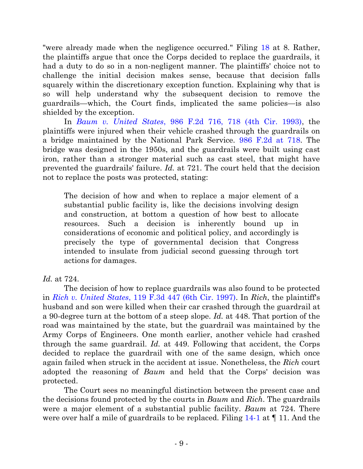"were already made when the negligence occurred." Filing [18](https://ecf.ned.uscourts.gov/doc1/11312866547) at 8. Rather, the plaintiffs argue that once the Corps decided to replace the guardrails, it had a duty to do so in a non-negligent manner. The plaintiffs' choice not to challenge the initial decision makes sense, because that decision falls squarely within the discretionary exception function. Explaining why that is so will help understand why the subsequent decision to remove the guardrails—which, the Court finds, implicated the same policies—is also shielded by the exception.

In *Baum v. United States*[, 986 F.2d 716, 718 \(4th Cir. 1993\),](http://westlaw.com/find/default.wl?ft=Y&referencepositiontype=S&rs=btil2.0&rp=%2ffind%2fdefault.wl&serialnum=1993055815&fn=_top&referenceposition=718&findtype=Y&vr=2.0&db=0000350&wbtoolsId=1993055815&HistoryType=F) the plaintiffs were injured when their vehicle crashed through the guardrails on a bridge maintained by the National Park Service. [986 F.2d at 718.](http://westlaw.com/find/default.wl?ft=Y&referencepositiontype=S&rs=btil2.0&rp=%2ffind%2fdefault.wl&serialnum=1993055815&fn=_top&referenceposition=718&findtype=Y&vr=2.0&db=0000350&wbtoolsId=1993055815&HistoryType=F) The bridge was designed in the 1950s, and the guardrails were built using cast iron, rather than a stronger material such as cast steel, that might have prevented the guardrails' failure. *Id.* at 721. The court held that the decision not to replace the posts was protected, stating:

The decision of how and when to replace a major element of a substantial public facility is, like the decisions involving design and construction, at bottom a question of how best to allocate resources. Such a decision is inherently bound up in considerations of economic and political policy, and accordingly is precisely the type of governmental decision that Congress intended to insulate from judicial second guessing through tort actions for damages.

# *Id.* at 724.

The decision of how to replace guardrails was also found to be protected in *Rich v. United States*[, 119 F.3d 447 \(6th Cir. 1997\).](http://westlaw.com/find/default.wl?ft=Y&db=0000506&rs=btil2.0&rp=%2ffind%2fdefault.wl&serialnum=1997153578&fn=_top&findtype=Y&vr=2.0&wbtoolsId=1997153578&HistoryType=F) In *Rich*, the plaintiff's husband and son were killed when their car crashed through the guardrail at a 90-degree turn at the bottom of a steep slope. *Id.* at 448. That portion of the road was maintained by the state, but the guardrail was maintained by the Army Corps of Engineers. One month earlier, another vehicle had crashed through the same guardrail. *Id.* at 449. Following that accident, the Corps decided to replace the guardrail with one of the same design, which once again failed when struck in the accident at issue. Nonetheless, the *Rich* court adopted the reasoning of *Baum* and held that the Corps' decision was protected.

The Court sees no meaningful distinction between the present case and the decisions found protected by the courts in *Baum* and *Rich*. The guardrails were a major element of a substantial public facility. *Baum* at 724. There were over half a mile of guardrails to be replaced. Filing [14-1](https://ecf.ned.uscourts.gov/doc1/11312835353) at  $\P$  11. And the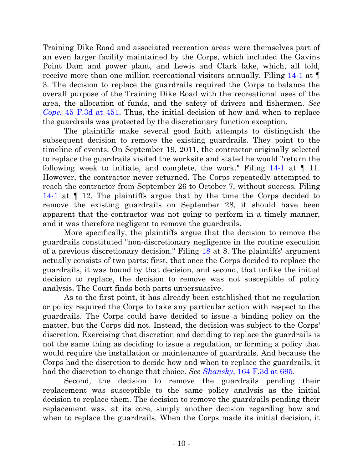Training Dike Road and associated recreation areas were themselves part of an even larger facility maintained by the Corps, which included the Gavins Point Dam and power plant, and Lewis and Clark lake, which, all told, receive more than one million recreational visitors annually. Filing [14-1](https://ecf.ned.uscourts.gov/doc1/11312835353) at ¶ 3. The decision to replace the guardrails required the Corps to balance the overall purpose of the Training Dike Road with the recreational uses of the area, the allocation of funds, and the safety of drivers and fishermen. *See Cope*[, 45 F.3d at 451.](http://westlaw.com/find/default.wl?ft=Y&db=0000506&rs=btil2.0&rp=%2ffind%2fdefault.wl&serialnum=1995027634&fn=_top&findtype=Y&vr=2.0&wbtoolsId=1995027634&HistoryType=F) Thus, the initial decision of how and when to replace the guardrails was protected by the discretionary function exception.

The plaintiffs make several good faith attempts to distinguish the subsequent decision to remove the existing guardrails. They point to the timeline of events. On September 19, 2011, the contractor originally selected to replace the guardrails visited the worksite and stated he would "return the following week to initiate, and complete, the work." Filing  $14-1$  at  $\P$  11. However, the contractor never returned. The Corps repeatedly attempted to reach the contractor from September 26 to October 7, without success. Filing [14-1](https://ecf.ned.uscourts.gov/doc1/11312835353) at ¶ 12. The plaintiffs argue that by the time the Corps decided to remove the existing guardrails on September 28, it should have been apparent that the contractor was not going to perform in a timely manner, and it was therefore negligent to remove the guardrails.

More specifically, the plaintiffs argue that the decision to remove the guardrails constituted "non-discretionary negligence in the routine execution of a previous discretionary decision." Filing [18](https://ecf.ned.uscourts.gov/doc1/11312866547) at 8. The plaintiffs' argument actually consists of two parts: first, that once the Corps decided to replace the guardrails, it was bound by that decision, and second, that unlike the initial decision to replace, the decision to remove was not susceptible of policy analysis. The Court finds both parts unpersuasive.

As to the first point, it has already been established that no regulation or policy required the Corps to take any particular action with respect to the guardrails. The Corps could have decided to issue a binding policy on the matter, but the Corps did not. Instead, the decision was subject to the Corps' discretion. Exercising that discretion and deciding to replace the guardrails is not the same thing as deciding to issue a regulation, or forming a policy that would require the installation or maintenance of guardrails. And because the Corps had the discretion to decide how and when to replace the guardrails, it had the discretion to change that choice. *See Shansky*[, 164 F.3d at 695.](http://westlaw.com/find/default.wl?ft=Y&referencepositiontype=S&rs=btil2.0&rp=%2ffind%2fdefault.wl&serialnum=1999026691&fn=_top&referenceposition=692&findtype=Y&vr=2.0&db=0000506&wbtoolsId=1999026691&HistoryType=F)

Second, the decision to remove the guardrails pending their replacement was susceptible to the same policy analysis as the initial decision to replace them. The decision to remove the guardrails pending their replacement was, at its core, simply another decision regarding how and when to replace the guardrails. When the Corps made its initial decision, it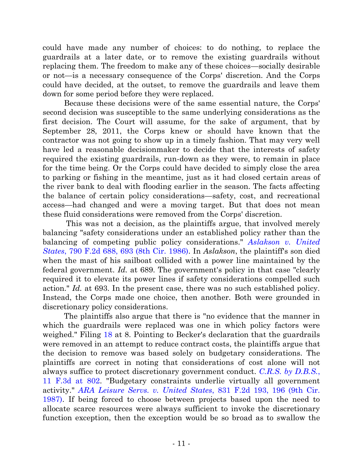could have made any number of choices: to do nothing, to replace the guardrails at a later date, or to remove the existing guardrails without replacing them. The freedom to make any of these choices—socially desirable or not—is a necessary consequence of the Corps' discretion. And the Corps could have decided, at the outset, to remove the guardrails and leave them down for some period before they were replaced.

Because these decisions were of the same essential nature, the Corps' second decision was susceptible to the same underlying considerations as the first decision. The Court will assume, for the sake of argument, that by September 28, 2011, the Corps knew or should have known that the contractor was not going to show up in a timely fashion. That may very well have led a reasonable decisionmaker to decide that the interests of safety required the existing guardrails, run-down as they were, to remain in place for the time being. Or the Corps could have decided to simply close the area to parking or fishing in the meantime, just as it had closed certain areas of the river bank to deal with flooding earlier in the season. The facts affecting the balance of certain policy considerations—safety, cost, and recreational access—had changed and were a moving target. But that does not mean these fluid considerations were removed from the Corps' discretion.

This was not a decision, as the plaintiffs argue, that involved merely balancing "safety considerations under an established policy rather than the balancing of competing public policy considerations." *Aslakson [v. United](http://westlaw.com/find/default.wl?ft=Y&db=0000350&rs=btil2.0&rp=%2ffind%2fdefault.wl&serialnum=1986124148&fn=_top&findtype=Y&vr=2.0&wbtoolsId=1986124148&HistoryType=F)  States*[, 790 F.2d 688, 693](http://westlaw.com/find/default.wl?ft=Y&db=0000350&rs=btil2.0&rp=%2ffind%2fdefault.wl&serialnum=1986124148&fn=_top&findtype=Y&vr=2.0&wbtoolsId=1986124148&HistoryType=F) (8th Cir. 1986). In *Aslakson*, the plaintiff's son died when the mast of his sailboat collided with a power line maintained by the federal government. *Id.* at 689. The government's policy in that case "clearly required it to elevate its power lines if safety considerations compelled such action." *Id.* at 693. In the present case, there was no such established policy. Instead, the Corps made one choice, then another. Both were grounded in discretionary policy considerations.

The plaintiffs also argue that there is "no evidence that the manner in which the guardrails were replaced was one in which policy factors were weighed." Filing [18](https://ecf.ned.uscourts.gov/doc1/11312866547) at 8. Pointing to Becker's declaration that the guardrails were removed in an attempt to reduce contract costs, the plaintiffs argue that the decision to remove was based solely on budgetary considerations. The plaintiffs are correct in noting that considerations of cost alone will not always suffice to protect discretionary government conduct. *[C.R.S. by D.B.S.](http://westlaw.com/find/default.wl?ft=Y&referencepositiontype=S&rs=btil2.0&rp=%2ffind%2fdefault.wl&serialnum=1993231738&fn=_top&referenceposition=796&findtype=Y&vr=2.0&db=0000506&wbtoolsId=1993231738&HistoryType=F)*, [11 F.3d at 802.](http://westlaw.com/find/default.wl?ft=Y&referencepositiontype=S&rs=btil2.0&rp=%2ffind%2fdefault.wl&serialnum=1993231738&fn=_top&referenceposition=796&findtype=Y&vr=2.0&db=0000506&wbtoolsId=1993231738&HistoryType=F) "Budgetary constraints underlie virtually all government activity." *[ARA Leisure Servs. v. United States](http://web2.westlaw.com/find/default.wl?cite=831+F.2d+193&rs=WLW14.01&vr=2.0&rp=%2ffind%2fdefault.wl&sv=Split&fn=_top&mt=26)*, 831 F.2d 193, 196 (9th Cir. [1987\).](http://web2.westlaw.com/find/default.wl?cite=831+F.2d+193&rs=WLW14.01&vr=2.0&rp=%2ffind%2fdefault.wl&sv=Split&fn=_top&mt=26) If being forced to choose between projects based upon the need to allocate scarce resources were always sufficient to invoke the discretionary function exception, then the exception would be so broad as to swallow the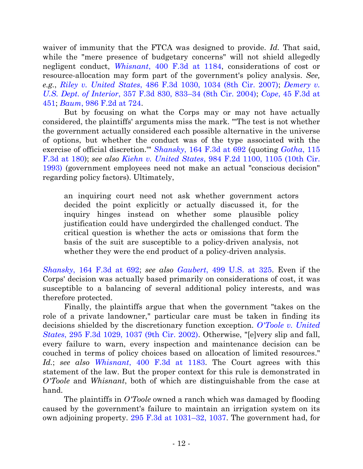waiver of immunity that the FTCA was designed to provide. *Id.* That said, while the "mere presence of budgetary concerns" will not shield allegedly negligent conduct, *Whisnant*[, 400 F.3d at 1184,](http://westlaw.com/find/default.wl?ft=Y&referencepositiontype=S&rs=btil2.0&rp=%2ffind%2fdefault.wl&serialnum=2006339093&fn=_top&referenceposition=1181&findtype=Y&vr=2.0&db=0000506&wbtoolsId=2006339093&HistoryType=F) considerations of cost or resource-allocation may form part of the government's policy analysis. *See, e.g.*, *Riley v. United States*[, 486 F.3d 1030, 1034 \(8th Cir. 2007\);](http://westlaw.com/find/default.wl?ft=Y&referencepositiontype=S&rs=btil2.0&rp=%2ffind%2fdefault.wl&serialnum=2012270154&fn=_top&referenceposition=1034&findtype=Y&vr=2.0&db=0000506&wbtoolsId=2012270154&HistoryType=F) *[Demery v.](http://westlaw.com/find/default.wl?ft=Y&referencepositiontype=S&rs=btil2.0&rp=%2ffind%2fdefault.wl&serialnum=2004116605&fn=_top&referenceposition=833&findtype=Y&vr=2.0&db=0000506&wbtoolsId=2004116605&HistoryType=F)  [U.S. Dept. of Interior](http://westlaw.com/find/default.wl?ft=Y&referencepositiontype=S&rs=btil2.0&rp=%2ffind%2fdefault.wl&serialnum=2004116605&fn=_top&referenceposition=833&findtype=Y&vr=2.0&db=0000506&wbtoolsId=2004116605&HistoryType=F)*, 357 F.3d 830, 833–34 (8th Cir. 2004); *Cope*[, 45 F.3d at](http://westlaw.com/find/default.wl?ft=Y&db=0000506&rs=btil2.0&rp=%2ffind%2fdefault.wl&serialnum=1995027634&fn=_top&findtype=Y&vr=2.0&wbtoolsId=1995027634&HistoryType=F)  [451;](http://westlaw.com/find/default.wl?ft=Y&db=0000506&rs=btil2.0&rp=%2ffind%2fdefault.wl&serialnum=1995027634&fn=_top&findtype=Y&vr=2.0&wbtoolsId=1995027634&HistoryType=F) *Baum*[, 986 F.2d at 724.](http://westlaw.com/find/default.wl?ft=Y&referencepositiontype=S&rs=btil2.0&rp=%2ffind%2fdefault.wl&serialnum=1993055815&fn=_top&referenceposition=718&findtype=Y&vr=2.0&db=0000350&wbtoolsId=1993055815&HistoryType=F)

But by focusing on what the Corps may or may not have actually considered, the plaintiffs' arguments miss the mark. "'The test is not whether the government actually considered each possible alternative in the universe of options, but whether the conduct was of the type associated with the exercise of official discretion.'" *Shansky*[, 164 F.3d at 692](http://westlaw.com/find/default.wl?ft=Y&referencepositiontype=S&rs=btil2.0&rp=%2ffind%2fdefault.wl&serialnum=1999026691&fn=_top&referenceposition=692&findtype=Y&vr=2.0&db=0000506&wbtoolsId=1999026691&HistoryType=F) (quoting *[Gotha](http://westlaw.com/find/default.wl?ft=Y&referencepositiontype=S&rs=btil2.0&rp=%2ffind%2fdefault.wl&serialnum=1997117112&fn=_top&referenceposition=180&findtype=Y&vr=2.0&db=0000506&wbtoolsId=1997117112&HistoryType=F)*, 115 [F.3d at 180\)](http://westlaw.com/find/default.wl?ft=Y&referencepositiontype=S&rs=btil2.0&rp=%2ffind%2fdefault.wl&serialnum=1997117112&fn=_top&referenceposition=180&findtype=Y&vr=2.0&db=0000506&wbtoolsId=1997117112&HistoryType=F); *see also Kiehn v. United States*, 984 [F.2d 1100, 1105 \(10th Cir.](http://westlaw.com/find/default.wl?ft=Y&referencepositiontype=S&rs=btil2.0&rp=%2ffind%2fdefault.wl&serialnum=1993036780&fn=_top&referenceposition=1105&findtype=Y&vr=2.0&db=0000350&wbtoolsId=1993036780&HistoryType=F)  [1993\)](http://westlaw.com/find/default.wl?ft=Y&referencepositiontype=S&rs=btil2.0&rp=%2ffind%2fdefault.wl&serialnum=1993036780&fn=_top&referenceposition=1105&findtype=Y&vr=2.0&db=0000350&wbtoolsId=1993036780&HistoryType=F) (government employees need not make an actual "conscious decision" regarding policy factors). Ultimately,

an inquiring court need not ask whether government actors decided the point explicitly or actually discussed it, for the inquiry hinges instead on whether some plausible policy justification could have undergirded the challenged conduct. The critical question is whether the acts or omissions that form the basis of the suit are susceptible to a policy-driven analysis, not whether they were the end product of a policy-driven analysis.

*Shansky*[, 164 F.3d at 692;](http://westlaw.com/find/default.wl?ft=Y&referencepositiontype=S&rs=btil2.0&rp=%2ffind%2fdefault.wl&serialnum=1999026691&fn=_top&referenceposition=692&findtype=Y&vr=2.0&db=0000506&wbtoolsId=1999026691&HistoryType=F) *see also Gaubert*[, 499 U.S. at 325.](http://westlaw.com/find/default.wl?ft=Y&db=0000780&rs=btil2.0&rp=%2ffind%2fdefault.wl&serialnum=1991059718&fn=_top&findtype=Y&vr=2.0&wbtoolsId=1991059718&HistoryType=F) Even if the Corps' decision was actually based primarily on considerations of cost, it was susceptible to a balancing of several additional policy interests, and was therefore protected.

Finally, the plaintiffs argue that when the government "takes on the role of a private landowner," particular care must be taken in finding its decisions shielded by the discretionary function exception. *[O'Toole v. United](http://westlaw.com/find/default.wl?ft=Y&referencepositiontype=S&rs=btil2.0&rp=%2ffind%2fdefault.wl&serialnum=2002424732&fn=_top&referenceposition=1037&findtype=Y&vr=2.0&db=0000506&wbtoolsId=2002424732&HistoryType=F)  States*[, 295 F.3d 1029, 1037 \(9th Cir. 2002\).](http://westlaw.com/find/default.wl?ft=Y&referencepositiontype=S&rs=btil2.0&rp=%2ffind%2fdefault.wl&serialnum=2002424732&fn=_top&referenceposition=1037&findtype=Y&vr=2.0&db=0000506&wbtoolsId=2002424732&HistoryType=F) Otherwise, "[e]very slip and fall, every failure to warn, every inspection and maintenance decision can be couched in terms of policy choices based on allocation of limited resources." *Id.*; *see also Whisnant*[, 400 F.3d at 1183.](http://westlaw.com/find/default.wl?ft=Y&referencepositiontype=S&rs=btil2.0&rp=%2ffind%2fdefault.wl&serialnum=2006339093&fn=_top&referenceposition=1181&findtype=Y&vr=2.0&db=0000506&wbtoolsId=2006339093&HistoryType=F) The Court agrees with this statement of the law. But the proper context for this rule is demonstrated in *O'Toole* and *Whisnant*, both of which are distinguishable from the case at hand.

The plaintiffs in *O'Toole* owned a ranch which was damaged by flooding caused by the government's failure to maintain an irrigation system on its own adjoining property. [295 F.3d at 1031](http://westlaw.com/find/default.wl?ft=Y&referencepositiontype=S&rs=btil2.0&rp=%2ffind%2fdefault.wl&serialnum=2002424732&fn=_top&referenceposition=1037&findtype=Y&vr=2.0&db=0000506&wbtoolsId=2002424732&HistoryType=F)–32, 1037. The government had, for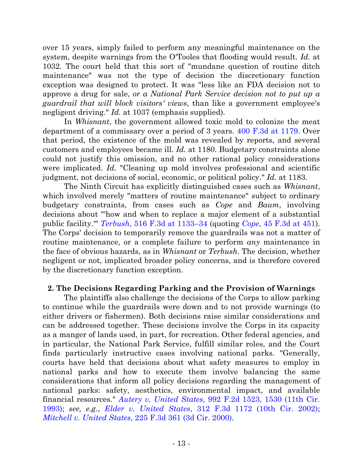over 15 years, simply failed to perform any meaningful maintenance on the system, despite warnings from the O'Tooles that flooding would result. *Id.* at 1032. The court held that this sort of "mundane question of routine ditch maintenance" was not the type of decision the discretionary function exception was designed to protect. It was "less like an FDA decision not to approve a drug for sale, *or a National Park Service decision not to put up a guardrail that will block visitors' views*, than like a government employee's negligent driving." *Id.* at 1037 (emphasis supplied).

In *Whisnant*, the government allowed toxic mold to colonize the meat department of a commissary over a period of 3 years. [400 F.3d at 1179.](http://westlaw.com/find/default.wl?ft=Y&referencepositiontype=S&rs=btil2.0&rp=%2ffind%2fdefault.wl&serialnum=2006339093&fn=_top&referenceposition=1181&findtype=Y&vr=2.0&db=0000506&wbtoolsId=2006339093&HistoryType=F) Over that period, the existence of the mold was revealed by reports, and several customers and employees became ill. *Id.* at 1180. Budgetary constraints alone could not justify this omission, and no other rational policy considerations were implicated. *Id.* "Cleaning up mold involves professional and scientific judgment, not decisions of social, economic, or political policy." *Id.* at 1183.

The Ninth Circuit has explicitly distinguished cases such as *Whisnant*, which involved merely "matters of routine maintenance" subject to ordinary budgetary constraints, from cases such as *Cope* and *Baum*, involving decisions about "'how and when to replace a major element of a substantial public facility.'" *Terbush*[, 516 F.3d at 1133](http://westlaw.com/find/default.wl?ft=Y&referencepositiontype=S&rs=btil2.0&rp=%2ffind%2fdefault.wl&serialnum=2015297928&fn=_top&referenceposition=1129&findtype=Y&vr=2.0&db=0000506&wbtoolsId=2015297928&HistoryType=F)–34 (quoting *Cope*[, 45 F.3d at 451\)](http://westlaw.com/find/default.wl?ft=Y&db=0000506&rs=btil2.0&rp=%2ffind%2fdefault.wl&serialnum=1995027634&fn=_top&findtype=Y&vr=2.0&wbtoolsId=1995027634&HistoryType=F). The Corps' decision to temporarily remove the guardrails was not a matter of routine maintenance, or a complete failure to perform *any* maintenance in the face of obvious hazards, as in *Whisnant* or *Terbush*. The decision, whether negligent or not, implicated broader policy concerns, and is therefore covered by the discretionary function exception.

# **2. The Decisions Regarding Parking and the Provision of Warnings**

The plaintiffs also challenge the decisions of the Corps to allow parking to continue while the guardrails were down and to not provide warnings (to either drivers or fishermen). Both decisions raise similar considerations and can be addressed together. These decisions involve the Corps in its capacity as a manger of lands used, in part, for recreation. Other federal agencies, and in particular, the National Park Service, fulfill similar roles, and the Court finds particularly instructive cases involving national parks. "Generally, courts have held that decisions about what safety measures to employ in national parks and how to execute them involve balancing the same considerations that inform all policy decisions regarding the management of national parks: safety, aesthetics, environmental impact, and available financial resources." *Autery v. United States*[, 992 F.2d 1523, 1530 \(11th Cir.](http://westlaw.com/find/default.wl?ft=Y&referencepositiontype=S&rs=btil2.0&rp=%2ffind%2fdefault.wl&serialnum=1993112242&fn=_top&referenceposition=1530&findtype=Y&vr=2.0&db=0000350&wbtoolsId=1993112242&HistoryType=F)  [1993\);](http://westlaw.com/find/default.wl?ft=Y&referencepositiontype=S&rs=btil2.0&rp=%2ffind%2fdefault.wl&serialnum=1993112242&fn=_top&referenceposition=1530&findtype=Y&vr=2.0&db=0000350&wbtoolsId=1993112242&HistoryType=F) *see, e.g.*, *Elder v. United States*[, 312 F.3d 1172 \(10th Cir. 2002\);](http://westlaw.com/find/default.wl?ft=Y&db=0000506&rs=btil2.0&rp=%2ffind%2fdefault.wl&serialnum=2002760204&fn=_top&findtype=Y&vr=2.0&wbtoolsId=2002760204&HistoryType=F) *Mitchell v. United States*[, 225 F.3d 361 \(3d Cir. 2000\).](http://westlaw.com/find/default.wl?ft=Y&db=0000506&rs=btil2.0&rp=%2ffind%2fdefault.wl&serialnum=2000492623&fn=_top&findtype=Y&vr=2.0&wbtoolsId=2000492623&HistoryType=F)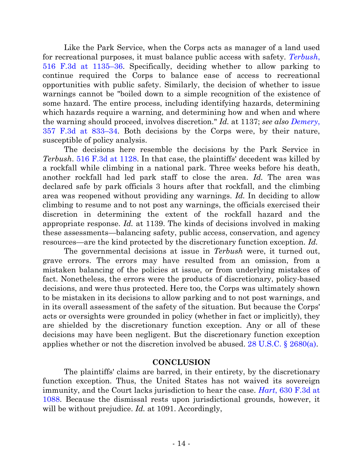Like the Park Service, when the Corps acts as manager of a land used for recreational purposes, it must balance public access with safety. *[Terbush](http://westlaw.com/find/default.wl?ft=Y&referencepositiontype=S&rs=btil2.0&rp=%2ffind%2fdefault.wl&serialnum=2015297928&fn=_top&referenceposition=1129&findtype=Y&vr=2.0&db=0000506&wbtoolsId=2015297928&HistoryType=F)*, [516 F.3d at 1135](http://westlaw.com/find/default.wl?ft=Y&referencepositiontype=S&rs=btil2.0&rp=%2ffind%2fdefault.wl&serialnum=2015297928&fn=_top&referenceposition=1129&findtype=Y&vr=2.0&db=0000506&wbtoolsId=2015297928&HistoryType=F)–36. Specifically, deciding whether to allow parking to continue required the Corps to balance ease of access to recreational opportunities with public safety. Similarly, the decision of whether to issue warnings cannot be "boiled down to a simple recognition of the existence of some hazard. The entire process, including identifying hazards, determining which hazards require a warning, and determining how and when and where the warning should proceed, involves discretion." *Id.* at 1137; *see also [Demery](http://westlaw.com/find/default.wl?ft=Y&referencepositiontype=S&rs=btil2.0&rp=%2ffind%2fdefault.wl&serialnum=2004116605&fn=_top&referenceposition=833&findtype=Y&vr=2.0&db=0000506&wbtoolsId=2004116605&HistoryType=F)*, [357 F.3d at 833](http://westlaw.com/find/default.wl?ft=Y&referencepositiontype=S&rs=btil2.0&rp=%2ffind%2fdefault.wl&serialnum=2004116605&fn=_top&referenceposition=833&findtype=Y&vr=2.0&db=0000506&wbtoolsId=2004116605&HistoryType=F)–34. Both decisions by the Corps were, by their nature, susceptible of policy analysis.

The decisions here resemble the decisions by the Park Service in *Terbush*. [516 F.3d at 1128.](http://westlaw.com/find/default.wl?ft=Y&referencepositiontype=S&rs=btil2.0&rp=%2ffind%2fdefault.wl&serialnum=2015297928&fn=_top&referenceposition=1129&findtype=Y&vr=2.0&db=0000506&wbtoolsId=2015297928&HistoryType=F) In that case, the plaintiffs' decedent was killed by a rockfall while climbing in a national park. Three weeks before his death, another rockfall had led park staff to close the area. *Id.* The area was declared safe by park officials 3 hours after that rockfall, and the climbing area was reopened without providing any warnings. *Id.* In deciding to allow climbing to resume and to not post any warnings, the officials exercised their discretion in determining the extent of the rockfall hazard and the appropriate response. *Id.* at 1139. The kinds of decisions involved in making these assessments—balancing safety, public access, conservation, and agency resources—are the kind protected by the discretionary function exception. *Id.*

The governmental decisions at issue in *Terbush* were, it turned out, grave errors. The errors may have resulted from an omission, from a mistaken balancing of the policies at issue, or from underlying mistakes of fact. Nonetheless, the errors were the products of discretionary, policy-based decisions, and were thus protected. Here too, the Corps was ultimately shown to be mistaken in its decisions to allow parking and to not post warnings, and in its overall assessment of the safety of the situation. But because the Corps' acts or oversights were grounded in policy (whether in fact or implicitly), they are shielded by the discretionary function exception. Any or all of these decisions may have been negligent. But the discretionary function exception applies whether or not the discretion involved be abused. 28 U.S.C.  $\S$  2680(a).

# **CONCLUSION**

The plaintiffs' claims are barred, in their entirety, by the discretionary function exception. Thus, the United States has not waived its sovereign immunity, and the Court lacks jurisdiction to hear the case. *Hart*[, 630 F.3d at](http://westlaw.com/find/default.wl?ft=Y&db=0000506&rs=btil2.0&rp=%2ffind%2fdefault.wl&serialnum=2024338545&fn=_top&findtype=Y&vr=2.0&wbtoolsId=2024338545&HistoryType=F)  [1088.](http://westlaw.com/find/default.wl?ft=Y&db=0000506&rs=btil2.0&rp=%2ffind%2fdefault.wl&serialnum=2024338545&fn=_top&findtype=Y&vr=2.0&wbtoolsId=2024338545&HistoryType=F) Because the dismissal rests upon jurisdictional grounds, however, it will be without prejudice. *Id.* at 1091. Accordingly,